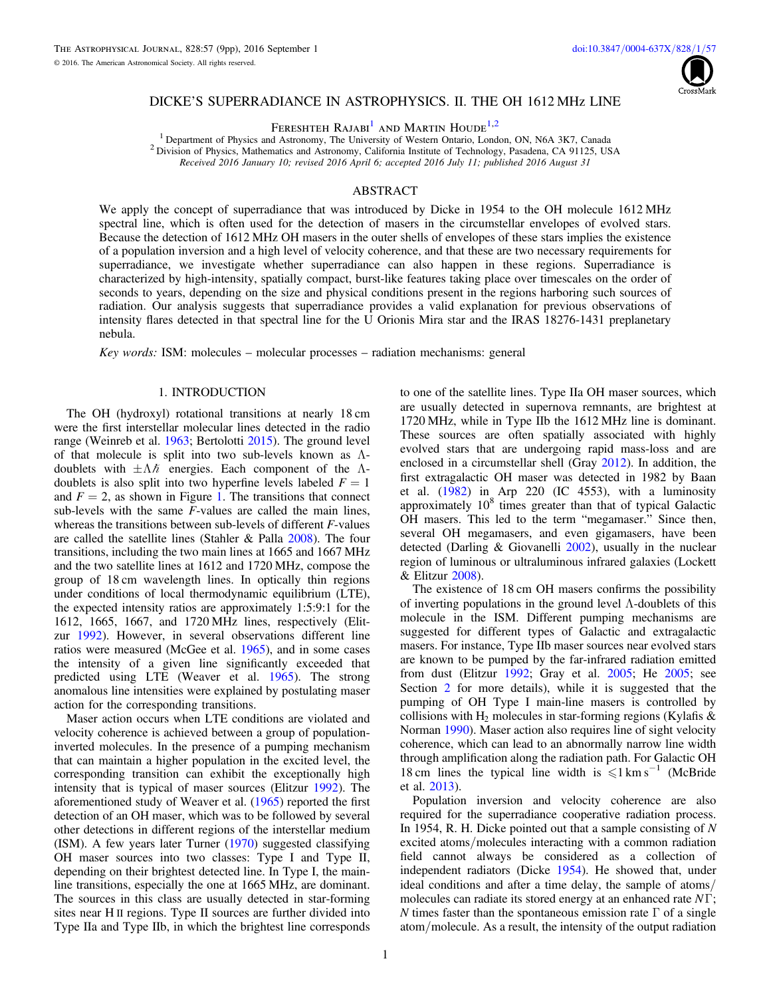

### DICKE'S SUPERRADIANCE IN ASTROPHYSICS. II. THE OH 1612 MHz LINE

FERESHTEH RAJABI<sup>[1](#page-0-0)</sup> AND MARTIN HOUDE<sup>[1,](#page-0-0)[2](#page-0-1)</sup>

<sup>1</sup> Department of Physics and Astronomy, The University of Western Ontario, London, ON, N6A 3K7, Canada <sup>2</sup> Division of Physics, Mathematics and Astronomy, California Institute of Technology, Pasadena, CA 91125, USA Received 2016 January 10; revised 2016 April 6; accepted 2016 July 11; published 2016 August 31

# ABSTRACT

<span id="page-0-1"></span><span id="page-0-0"></span>We apply the concept of superradiance that was introduced by Dicke in 1954 to the OH molecule 1612 MHz spectral line, which is often used for the detection of masers in the circumstellar envelopes of evolved stars. Because the detection of 1612 MHz OH masers in the outer shells of envelopes of these stars implies the existence of a population inversion and a high level of velocity coherence, and that these are two necessary requirements for superradiance, we investigate whether superradiance can also happen in these regions. Superradiance is characterized by high-intensity, spatially compact, burst-like features taking place over timescales on the order of seconds to years, depending on the size and physical conditions present in the regions harboring such sources of radiation. Our analysis suggests that superradiance provides a valid explanation for previous observations of intensity flares detected in that spectral line for the U Orionis Mira star and the IRAS 18276-1431 preplanetary nebula.

Key words: ISM: molecules – molecular processes – radiation mechanisms: general

### 1. INTRODUCTION

The OH (hydroxyl) rotational transitions at nearly 18 cm were the first interstellar molecular lines detected in the radio range (Weinreb et al. [1963](#page-8-0); Bertolotti [2015](#page-8-1)). The ground level of that molecule is split into two sub-levels known as Λdoublets with  $\pm \Lambda \hbar$  energies. Each component of the Λdoublets is also split into two hyperfine levels labeled  $F = 1$ and  $F = 2$ , as shown in Figure [1.](#page-1-0) The transitions that connect sub-levels with the same F-values are called the main lines, whereas the transitions between sub-levels of different F-values are called the satellite lines (Stahler & Palla [2008](#page-8-2)). The four transitions, including the two main lines at 1665 and 1667 MHz and the two satellite lines at 1612 and 1720 MHz, compose the group of 18 cm wavelength lines. In optically thin regions under conditions of local thermodynamic equilibrium (LTE), the expected intensity ratios are approximately 1:5:9:1 for the 1612, 1665, 1667, and 1720 MHz lines, respectively (Elitzur [1992](#page-8-3)). However, in several observations different line ratios were measured (McGee et al. [1965](#page-8-4)), and in some cases the intensity of a given line significantly exceeded that predicted using LTE (Weaver et al. [1965](#page-8-5)). The strong anomalous line intensities were explained by postulating maser action for the corresponding transitions.

Maser action occurs when LTE conditions are violated and velocity coherence is achieved between a group of populationinverted molecules. In the presence of a pumping mechanism that can maintain a higher population in the excited level, the corresponding transition can exhibit the exceptionally high intensity that is typical of maser sources (Elitzur [1992](#page-8-3)). The aforementioned study of Weaver et al. ([1965](#page-8-5)) reported the first detection of an OH maser, which was to be followed by several other detections in different regions of the interstellar medium (ISM). A few years later Turner ([1970](#page-8-6)) suggested classifying OH maser sources into two classes: Type I and Type II, depending on their brightest detected line. In Type I, the mainline transitions, especially the one at 1665 MHz, are dominant. The sources in this class are usually detected in star-forming sites near H II regions. Type II sources are further divided into Type IIa and Type IIb, in which the brightest line corresponds

to one of the satellite lines. Type IIa OH maser sources, which are usually detected in supernova remnants, are brightest at 1720 MHz, while in Type IIb the 1612 MHz line is dominant. These sources are often spatially associated with highly evolved stars that are undergoing rapid mass-loss and are enclosed in a circumstellar shell (Gray [2012](#page-8-7)). In addition, the first extragalactic OH maser was detected in 1982 by Baan et al. ([1982](#page-8-8)) in Arp 220 (IC 4553), with a luminosity approximately  $10<sup>8</sup>$  times greater than that of typical Galactic OH masers. This led to the term "megamaser." Since then, several OH megamasers, and even gigamasers, have been detected (Darling & Giovanelli [2002](#page-8-9)), usually in the nuclear region of luminous or ultraluminous infrared galaxies (Lockett & Elitzur [2008](#page-8-10)).

The existence of 18 cm OH masers confirms the possibility of inverting populations in the ground level Λ-doublets of this molecule in the ISM. Different pumping mechanisms are suggested for different types of Galactic and extragalactic masers. For instance, Type IIb maser sources near evolved stars are known to be pumped by the far-infrared radiation emitted from dust (Elitzur [1992](#page-8-3); Gray et al. [2005](#page-8-11); He [2005;](#page-8-12) see Section [2](#page-1-1) for more details), while it is suggested that the pumping of OH Type I main-line masers is controlled by collisions with  $H_2$  molecules in star-forming regions (Kylafis  $\&$ Norman [1990](#page-8-13)). Maser action also requires line of sight velocity coherence, which can lead to an abnormally narrow line width through amplification along the radiation path. For Galactic OH 18 cm lines the typical line width is  $\leq 1 \text{ km s}^{-1}$  (McBride et al. [2013](#page-8-14)).

Population inversion and velocity coherence are also required for the superradiance cooperative radiation process. In 1954, R. H. Dicke pointed out that a sample consisting of  $N$ excited atoms/molecules interacting with a common radiation field cannot always be considered as a collection of independent radiators (Dicke [1954](#page-8-15)). He showed that, under ideal conditions and after a time delay, the sample of atoms/ molecules can radiate its stored energy at an enhanced rate  $N\Gamma$ ; N times faster than the spontaneous emission rate  $\Gamma$  of a single atom/molecule. As a result, the intensity of the output radiation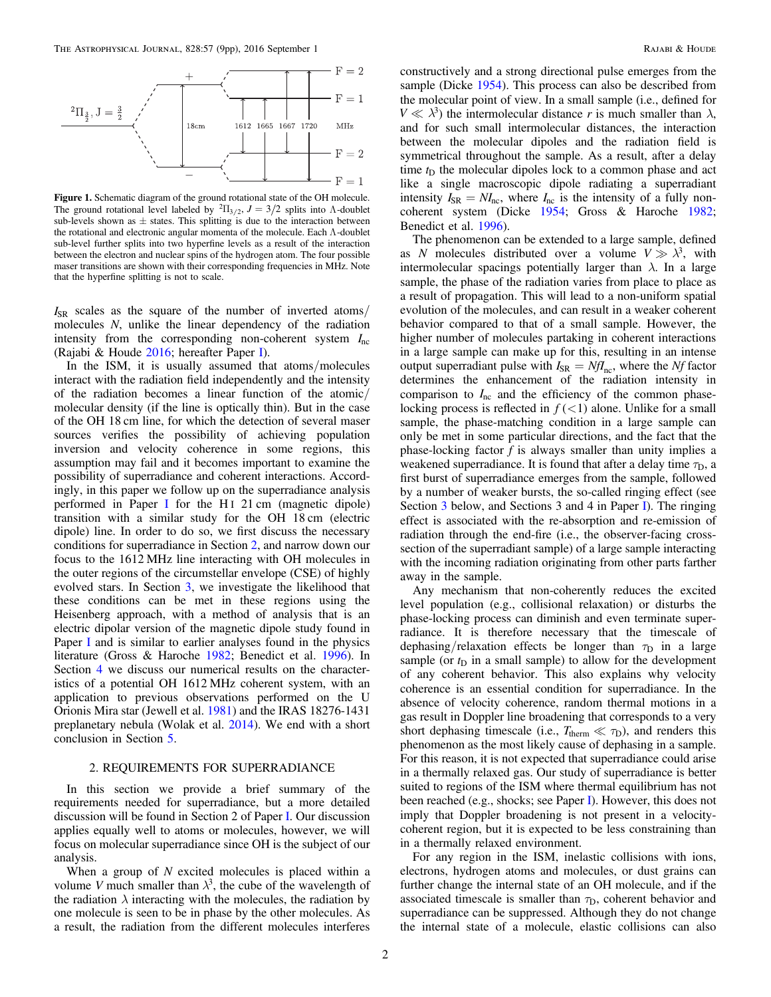<span id="page-1-0"></span>

Figure 1. Schematic diagram of the ground rotational state of the OH molecule. The ground rotational level labeled by <sup>2</sup> $\Pi_{3/2}$ ,  $J = 3/2$  splits into  $\Lambda$ -doublet sub-levels shown as  $\pm$  states. This splitting is due to the interaction between the rotational and electronic angular momenta of the molecule. Each  $\Lambda$ -doublet sub-level further splits into two hyperfine levels as a result of the interaction between the electron and nuclear spins of the hydrogen atom. The four possible maser transitions are shown with their corresponding frequencies in MHz. Note that the hyperfine splitting is not to scale.

 $I_{SR}$  scales as the square of the number of inverted atoms/ molecules N, unlike the linear dependency of the radiation intensity from the corresponding non-coherent system *I*nc (Rajabi & Houde [2016;](#page-8-16) hereafter Paper [I](#page-8-16)).

In the ISM, it is usually assumed that atoms/molecules interact with the radiation field independently and the intensity of the radiation becomes a linear function of the atomic/ molecular density (if the line is optically thin). But in the case of the OH 18 cm line, for which the detection of several maser sources verifies the possibility of achieving population inversion and velocity coherence in some regions, this assumption may fail and it becomes important to examine the possibility of superradiance and coherent interactions. Accordingly, in this paper we follow up on the superradiance analysis performed in Paper [I](#page-8-16) for the H<sub>I</sub> 21 cm (magnetic dipole) transition with a similar study for the OH 18 cm (electric dipole) line. In order to do so, we first discuss the necessary conditions for superradiance in Section [2](#page-1-1), and narrow down our focus to the 1612 MHz line interacting with OH molecules in the outer regions of the circumstellar envelope (CSE) of highly evolved stars. In Section [3](#page-3-0), we investigate the likelihood that these conditions can be met in these regions using the Heisenberg approach, with a method of analysis that is an electric dipolar version of the magnetic dipole study found in Paper [I](#page-8-16) and is similar to earlier analyses found in the physics literature (Gross & Haroche [1982](#page-8-17); Benedict et al. [1996](#page-8-18)). In Section [4](#page-5-0) we discuss our numerical results on the characteristics of a potential OH 1612 MHz coherent system, with an application to previous observations performed on the U Orionis Mira star (Jewell et al. [1981](#page-8-19)) and the IRAS 18276-1431 preplanetary nebula (Wolak et al. [2014](#page-8-20)). We end with a short conclusion in Section [5.](#page-8-21)

# 2. REQUIREMENTS FOR SUPERRADIANCE

<span id="page-1-1"></span>In this section we provide a brief summary of the requirements needed for superradiance, but a more detailed discussion will be found in Section 2 of Paper [I](#page-8-16). Our discussion applies equally well to atoms or molecules, however, we will focus on molecular superradiance since OH is the subject of our analysis.

When a group of  $N$  excited molecules is placed within a volume V much smaller than  $\lambda^3$ , the cube of the wavelength of the radiation  $\lambda$  interacting with the molecules, the radiation by one molecule is seen to be in phase by the other molecules. As a result, the radiation from the different molecules interferes

constructively and a strong directional pulse emerges from the sample (Dicke [1954](#page-8-15)). This process can also be described from the molecular point of view. In a small sample (i.e., defined for  $V \ll \lambda^3$ ) the intermolecular distance r is much smaller than  $\lambda$ , and for such small intermolecular distances, the interaction between the molecular dipoles and the radiation field is symmetrical throughout the sample. As a result, after a delay time  $t<sub>D</sub>$  the molecular dipoles lock to a common phase and act like a single macroscopic dipole radiating a superradiant intensity  $I_{SR} = NI_{nc}$ , where  $I_{nc}$  is the intensity of a fully noncoherent system (Dicke [1954;](#page-8-15) Gross & Haroche [1982](#page-8-17); Benedict et al. [1996](#page-8-18)).

The phenomenon can be extended to a large sample, defined as N molecules distributed over a volume  $V \gg \lambda^3$ , with intermolecular spacings potentially larger than  $\lambda$ . In a large sample, the phase of the radiation varies from place to place as a result of propagation. This will lead to a non-uniform spatial evolution of the molecules, and can result in a weaker coherent behavior compared to that of a small sample. However, the higher number of molecules partaking in coherent interactions in a large sample can make up for this, resulting in an intense output superradiant pulse with  $I_{SR} = NfI_{nc}$ , where the Nf factor determines the enhancement of the radiation intensity in comparison to  $I<sub>nc</sub>$  and the efficiency of the common phaselocking process is reflected in  $f(\leq 1)$  alone. Unlike for a small sample, the phase-matching condition in a large sample can only be met in some particular directions, and the fact that the phase-locking factor  $f$  is always smaller than unity implies a weakened superradiance. It is found that after a delay time  $\tau_D$ , a first burst of superradiance emerges from the sample, followed by a number of weaker bursts, the so-called ringing effect (see Section [3](#page-3-0) below, and Sections 3 and 4 in Paper [I](#page-8-16)). The ringing effect is associated with the re-absorption and re-emission of radiation through the end-fire (i.e., the observer-facing crosssection of the superradiant sample) of a large sample interacting with the incoming radiation originating from other parts farther away in the sample.

Any mechanism that non-coherently reduces the excited level population (e.g., collisional relaxation) or disturbs the phase-locking process can diminish and even terminate superradiance. It is therefore necessary that the timescale of dephasing/relaxation effects be longer than  $\tau_D$  in a large sample (or  $t_D$  in a small sample) to allow for the development of any coherent behavior. This also explains why velocity coherence is an essential condition for superradiance. In the absence of velocity coherence, random thermal motions in a gas result in Doppler line broadening that corresponds to a very short dephasing timescale (i.e.,  $T_{\text{therm}} \ll \tau_{\text{D}}$ ), and renders this phenomenon as the most likely cause of dephasing in a sample. For this reason, it is not expected that superradiance could arise in a thermally relaxed gas. Our study of superradiance is better suited to regions of the ISM where thermal equilibrium has not been reached (e.g., shocks; see Paper [I](#page-8-16)). However, this does not imply that Doppler broadening is not present in a velocitycoherent region, but it is expected to be less constraining than in a thermally relaxed environment.

For any region in the ISM, inelastic collisions with ions, electrons, hydrogen atoms and molecules, or dust grains can further change the internal state of an OH molecule, and if the associated timescale is smaller than  $\tau_D$ , coherent behavior and superradiance can be suppressed. Although they do not change the internal state of a molecule, elastic collisions can also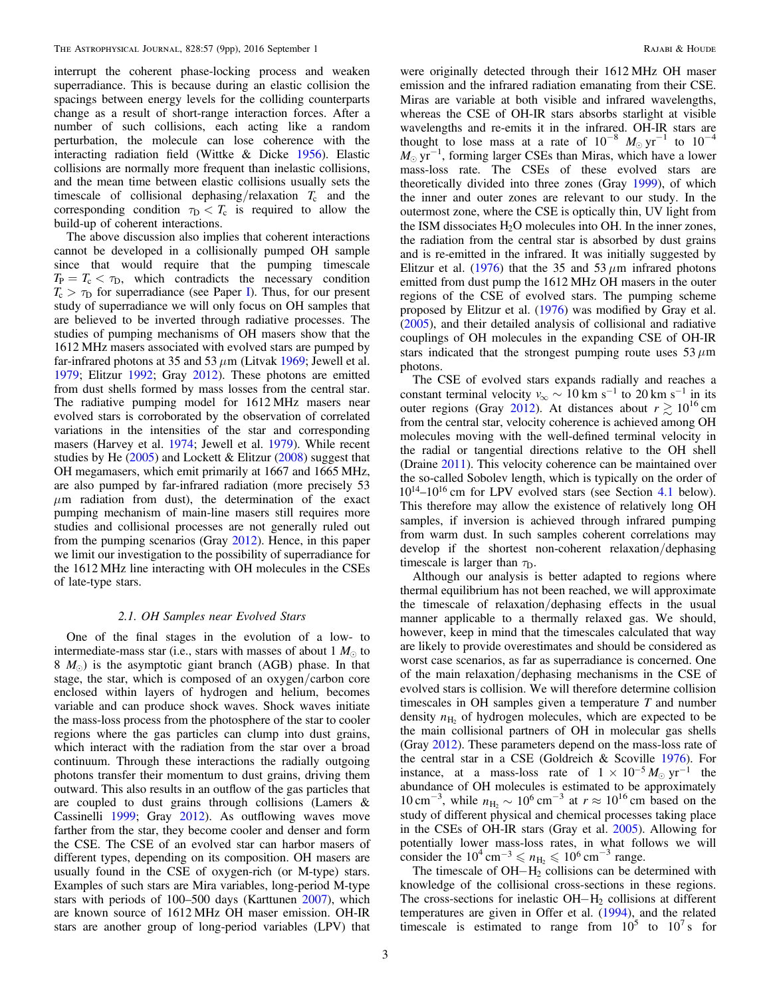interrupt the coherent phase-locking process and weaken superradiance. This is because during an elastic collision the spacings between energy levels for the colliding counterparts change as a result of short-range interaction forces. After a number of such collisions, each acting like a random perturbation, the molecule can lose coherence with the interacting radiation field (Wittke & Dicke [1956](#page-8-22)). Elastic collisions are normally more frequent than inelastic collisions, and the mean time between elastic collisions usually sets the timescale of collisional dephasing/relaxation  $T_c$  and the corresponding condition  $\tau_D < T_c$  is required to allow the build-up of coherent interactions.

The above discussion also implies that coherent interactions cannot be developed in a collisionally pumped OH sample since that would require that the pumping timescale  $T_P = T_c < \tau_D$ , which contradicts the necessary condition  $T_c > \tau_D$  for superradiance (see Paper [I](#page-8-16)). Thus, for our present study of superradiance we will only focus on OH samples that are believed to be inverted through radiative processes. The studies of pumping mechanisms of OH masers show that the 1612 MHz masers associated with evolved stars are pumped by far-infrared photons at 35 and 53  $\mu$ m (Litvak [1969](#page-8-23); Jewell et al. [1979;](#page-8-24) Elitzur [1992](#page-8-3); Gray [2012](#page-8-7)). These photons are emitted from dust shells formed by mass losses from the central star. The radiative pumping model for 1612 MHz masers near evolved stars is corroborated by the observation of correlated variations in the intensities of the star and corresponding masers (Harvey et al. [1974;](#page-8-25) Jewell et al. [1979](#page-8-24)). While recent studies by He  $(2005)$  $(2005)$  $(2005)$  and Lockett & Elitzur  $(2008)$  $(2008)$  $(2008)$  suggest that OH megamasers, which emit primarily at 1667 and 1665 MHz, are also pumped by far-infrared radiation (more precisely 53  $\mu$ m radiation from dust), the determination of the exact pumping mechanism of main-line masers still requires more studies and collisional processes are not generally ruled out from the pumping scenarios (Gray [2012](#page-8-7)). Hence, in this paper we limit our investigation to the possibility of superradiance for the 1612 MHz line interacting with OH molecules in the CSEs of late-type stars.

### 2.1. OH Samples near Evolved Stars

<span id="page-2-0"></span>One of the final stages in the evolution of a low- to intermediate-mass star (i.e., stars with masses of about  $1 M_{\odot}$  to  $8 \ M_{\odot}$ ) is the asymptotic giant branch (AGB) phase. In that stage, the star, which is composed of an oxygen/carbon core enclosed within layers of hydrogen and helium, becomes variable and can produce shock waves. Shock waves initiate the mass-loss process from the photosphere of the star to cooler regions where the gas particles can clump into dust grains, which interact with the radiation from the star over a broad continuum. Through these interactions the radially outgoing photons transfer their momentum to dust grains, driving them outward. This also results in an outflow of the gas particles that are coupled to dust grains through collisions (Lamers & Cassinelli [1999;](#page-8-26) Gray [2012](#page-8-7)). As outflowing waves move farther from the star, they become cooler and denser and form the CSE. The CSE of an evolved star can harbor masers of different types, depending on its composition. OH masers are usually found in the CSE of oxygen-rich (or M-type) stars. Examples of such stars are Mira variables, long-period M-type stars with periods of 100–500 days (Karttunen [2007](#page-8-27)), which are known source of 1612 MHz OH maser emission. OH-IR stars are another group of long-period variables (LPV) that

were originally detected through their 1612 MHz OH maser emission and the infrared radiation emanating from their CSE. Miras are variable at both visible and infrared wavelengths, whereas the CSE of OH-IR stars absorbs starlight at visible wavelengths and re-emits it in the infrared. OH-IR stars are thought to lose mass at a rate of  $10^{-8}$   $M_{\odot}$  yr<sup>-1</sup> to  $10^{-4}$  $M_{\odot}$  yr<sup>-1</sup>, forming larger CSEs than Miras, which have a lower mass-loss rate. The CSEs of these evolved stars are theoretically divided into three zones (Gray [1999](#page-8-28)), of which the inner and outer zones are relevant to our study. In the outermost zone, where the CSE is optically thin, UV light from the ISM dissociates  $H_2O$  molecules into OH. In the inner zones, the radiation from the central star is absorbed by dust grains and is re-emitted in the infrared. It was initially suggested by Elitzur et al.  $(1976)$  $(1976)$  $(1976)$  that the 35 and 53  $\mu$ m infrared photons emitted from dust pump the 1612 MHz OH masers in the outer regions of the CSE of evolved stars. The pumping scheme proposed by Elitzur et al. ([1976](#page-8-29)) was modified by Gray et al. ([2005](#page-8-11)), and their detailed analysis of collisional and radiative couplings of OH molecules in the expanding CSE of OH-IR stars indicated that the strongest pumping route uses  $53 \mu m$ photons.

The CSE of evolved stars expands radially and reaches a constant terminal velocity  $v_{\infty} \sim 10 \text{ km s}^{-1}$  to 20 km s<sup>-1</sup> in its outer regions (Gray [2012](#page-8-7)). At distances about  $r \gtrsim 10^{16}$  cm from the central star, velocity coherence is achieved among OH molecules moving with the well-defined terminal velocity in the radial or tangential directions relative to the OH shell (Draine [2011](#page-8-30)). This velocity coherence can be maintained over the so-called Sobolev length, which is typically on the order of  $10^{14}$ – $10^{16}$  cm for LPV evolved stars (see Section [4.1](#page-5-1) below). This therefore may allow the existence of relatively long OH samples, if inversion is achieved through infrared pumping from warm dust. In such samples coherent correlations may develop if the shortest non-coherent relaxation/dephasing timescale is larger than  $\tau_D$ .

Although our analysis is better adapted to regions where thermal equilibrium has not been reached, we will approximate the timescale of relaxation/dephasing effects in the usual manner applicable to a thermally relaxed gas. We should, however, keep in mind that the timescales calculated that way are likely to provide overestimates and should be considered as worst case scenarios, as far as superradiance is concerned. One of the main relaxation/dephasing mechanisms in the CSE of evolved stars is collision. We will therefore determine collision timescales in OH samples given a temperature  $T$  and number density  $n_{\rm H2}$  of hydrogen molecules, which are expected to be the main collisional partners of OH in molecular gas shells (Gray [2012](#page-8-7)). These parameters depend on the mass-loss rate of the central star in a CSE (Goldreich & Scoville [1976](#page-8-31)). For instance, at a mass-loss rate of  $1 \times 10^{-5} M_{\odot} \text{ yr}^{-1}$  the abundance of OH molecules is estimated to be approximately  $10 \text{ cm}^{-3}$ , while  $n_{\text{H}_2} \sim 10^6 \text{ cm}^{-3}$  at  $r \approx 10^{16} \text{ cm}$  based on the study of different physical and chemical processes taking place in the CSEs of OH-IR stars (Gray et al. [2005](#page-8-11)). Allowing for potentially lower mass-loss rates, in what follows we will consider the  $10^4 \text{ cm}^{-3} \le n_{\text{H}_2} \le 10^6 \text{ cm}^{-3}$  range.

The timescale of  $OH-H<sub>2</sub>$  collisions can be determined with knowledge of the collisional cross-sections in these regions. The cross-sections for inelastic  $OH-H<sub>2</sub>$  collisions at different temperatures are given in Offer et al. ([1994](#page-8-32)), and the related timescale is estimated to range from  $10^5$  to  $10^7$  s for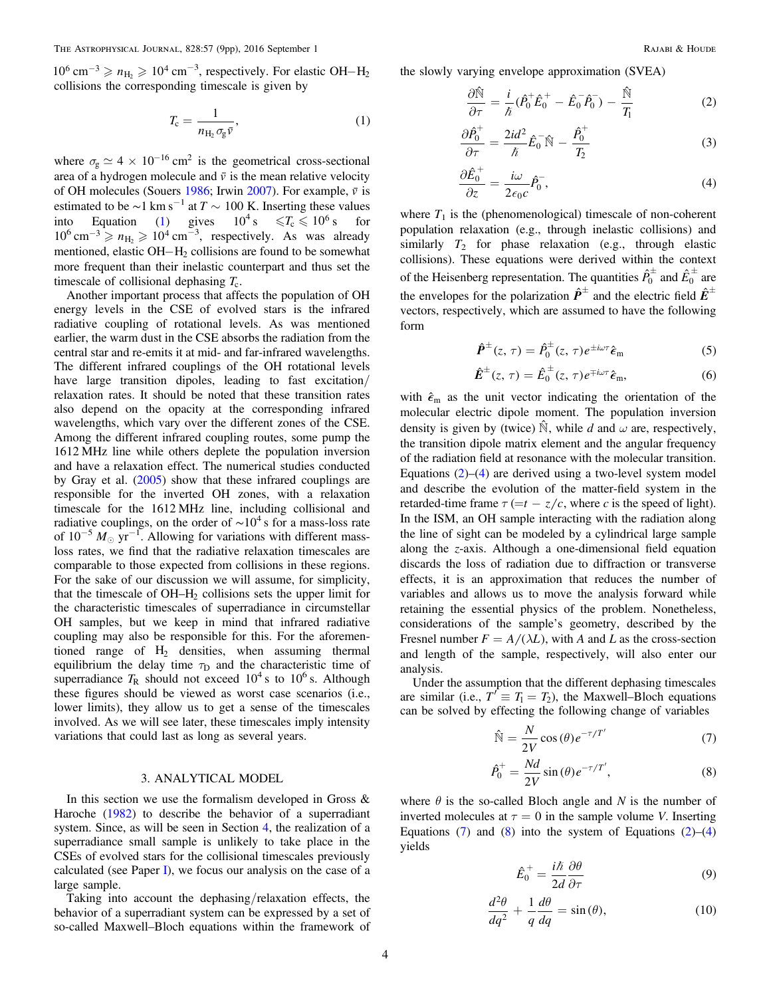<span id="page-3-1"></span> $10^6$  cm<sup>-3</sup>  $\ge n$ <sub>H<sub>2</sub>  $\ge 10^4$  cm<sup>-3</sup>, respectively. For elastic OH-H<sub>2</sub></sub> collisions the corresponding timescale is given by

$$
T_{\rm c} = \frac{1}{n_{\rm H_2} \sigma_{\rm g} \bar{v}},\tag{1}
$$

where  $\sigma_{\rm g} \simeq 4 \times 10^{-16}$  cm<sup>2</sup> is the geometrical cross-sectional area of a hydrogen molecule and  $\bar{v}$  is the mean relative velocity of OH molecules (Souers [1986;](#page-8-33) Irwin [2007](#page-8-34)). For example,  $\bar{v}$  is estimated to be  $\sim$ 1 km s<sup>-1</sup> at *T*  $\sim$  100 K. Inserting these values into Equation ([1](#page-3-1)) gives  $10^4$  s  $\leq T_c \leq 10^6$  s for  $10^6 \text{ cm}^{-3} \ge n_{\text{H}_2} \ge 10^4 \text{ cm}^{-3}$ , respectively. As was already mentioned, elastic  $OH-H<sub>2</sub>$  collisions are found to be somewhat more frequent than their inelastic counterpart and thus set the timescale of collisional dephasing  $T_c$ .

Another important process that affects the population of OH energy levels in the CSE of evolved stars is the infrared radiative coupling of rotational levels. As was mentioned earlier, the warm dust in the CSE absorbs the radiation from the central star and re-emits it at mid- and far-infrared wavelengths. The different infrared couplings of the OH rotational levels have large transition dipoles, leading to fast excitation/ relaxation rates. It should be noted that these transition rates also depend on the opacity at the corresponding infrared wavelengths, which vary over the different zones of the CSE. Among the different infrared coupling routes, some pump the 1612 MHz line while others deplete the population inversion and have a relaxation effect. The numerical studies conducted by Gray et al. ([2005](#page-8-11)) show that these infrared couplings are responsible for the inverted OH zones, with a relaxation timescale for the 1612 MHz line, including collisional and radiative couplings, on the order of  $\sim 10^4$  s for a mass-loss rate of  $10^{-5} M_{\odot}$  yr<sup>-1</sup>. Allowing for variations with different massloss rates, we find that the radiative relaxation timescales are comparable to those expected from collisions in these regions. For the sake of our discussion we will assume, for simplicity, that the timescale of  $OH-H<sub>2</sub>$  collisions sets the upper limit for the characteristic timescales of superradiance in circumstellar OH samples, but we keep in mind that infrared radiative coupling may also be responsible for this. For the aforementioned range of  $H_2$  densities, when assuming thermal equilibrium the delay time  $\tau_D$  and the characteristic time of superradiance  $T_R$  should not exceed  $10^4$  s to  $10^6$  s. Although these figures should be viewed as worst case scenarios (i.e., lower limits), they allow us to get a sense of the timescales involved. As we will see later, these timescales imply intensity variations that could last as long as several years.

#### 3. ANALYTICAL MODEL

<span id="page-3-0"></span>In this section we use the formalism developed in Gross & Haroche ([1982](#page-8-17)) to describe the behavior of a superradiant system. Since, as will be seen in Section [4,](#page-5-0) the realization of a superradiance small sample is unlikely to take place in the CSEs of evolved stars for the collisional timescales previously calculated (see Paper [I](#page-8-16)), we focus our analysis on the case of a large sample.

Taking into account the dephasing/relaxation effects, the behavior of a superradiant system can be expressed by a set of so-called Maxwell–Bloch equations within the framework of <span id="page-3-2"></span>the slowly varying envelope approximation (SVEA)

$$
\frac{\partial \hat{\mathbb{N}}}{\partial \tau} = \frac{i}{\hbar} (\hat{P}_0^+ \hat{E}_0^+ - \hat{E}_0^- \hat{P}_0^-) - \frac{\hat{\mathbb{N}}}{T_1}
$$
(2)

$$
\frac{\partial \hat{P}_0^+}{\partial \tau} = \frac{2id^2}{\hbar} \hat{E}_0^- \hat{N} - \frac{\hat{P}_0^+}{T_2} \tag{3}
$$

$$
\frac{\partial \hat{E}_0^+}{\partial z} = \frac{i\omega}{2\epsilon_0 c} \hat{P}_0^-, \tag{4}
$$

<span id="page-3-3"></span>where  $T_1$  is the (phenomenological) timescale of non-coherent population relaxation (e.g., through inelastic collisions) and similarly  $T_2$  for phase relaxation (e.g., through elastic collisions). These equations were derived within the context of the Heisenberg representation. The quantities  $\hat{P}_0^{\pm}$  and  $\hat{E}_0^{\pm}$  are the envelopes for the polarization  $\hat{P}^{\pm}$  and the electric field  $\hat{E}^{\pm}$ vectors, respectively, which are assumed to have the following form

$$
\hat{\boldsymbol{P}}^{\pm}(z,\,\tau)=\hat{P}_0^{\pm}(z,\,\tau)e^{\pm i\omega\tau}\hat{\boldsymbol{\epsilon}}_{\rm m}\tag{5}
$$

$$
\hat{E}^{\pm}(z,\,\tau)=\hat{E}_0^{\pm}(z,\,\tau)e^{\mp i\omega\tau}\hat{\epsilon}_{\rm m},\qquad\qquad(6)
$$

with  $\hat{\epsilon}_{m}$  as the unit vector indicating the orientation of the molecular electric dipole moment. The population inversion density is given by (twice)  $\hat{N}$ , while d and  $\omega$  are, respectively, the transition dipole matrix element and the angular frequency of the radiation field at resonance with the molecular transition. Equations  $(2)$  $(2)$  $(2)$ – $(4)$  $(4)$  $(4)$  are derived using a two-level system model and describe the evolution of the matter-field system in the retarded-time frame  $\tau$  (=t -  $z/c$ , where c is the speed of light). In the ISM, an OH sample interacting with the radiation along the line of sight can be modeled by a cylindrical large sample along the z-axis. Although a one-dimensional field equation discards the loss of radiation due to diffraction or transverse effects, it is an approximation that reduces the number of variables and allows us to move the analysis forward while retaining the essential physics of the problem. Nonetheless, considerations of the sample's geometry, described by the Fresnel number  $F = A/(\lambda L)$ , with A and L as the cross-section and length of the sample, respectively, will also enter our analysis.

<span id="page-3-4"></span>Under the assumption that the different dephasing timescales are similar (i.e.,  $T' \equiv T_1 = T_2$ ), the Maxwell–Bloch equations can be solved by effecting the following change of variables

$$
\hat{\mathbb{N}} = \frac{N}{2V} \cos(\theta) e^{-\tau/T'} \tag{7}
$$

$$
\hat{P}_0^+ = \frac{Nd}{2V} \sin(\theta) e^{-\tau/T'}, \tag{8}
$$

<span id="page-3-7"></span><span id="page-3-6"></span><span id="page-3-5"></span>where  $\theta$  is the so-called Bloch angle and N is the number of inverted molecules at  $\tau = 0$  in the sample volume *V*. Inserting Equations ([7](#page-3-4)) and ([8](#page-3-5)) into the system of Equations  $(2)$  $(2)$  $(2)$ – $(4)$  $(4)$  $(4)$ yields

$$
\hat{E}_0^+ = \frac{i\hbar}{2d} \frac{\partial \theta}{\partial \tau} \tag{9}
$$

$$
\frac{d^2\theta}{dq^2} + \frac{1}{q}\frac{d\theta}{dq} = \sin(\theta),\tag{10}
$$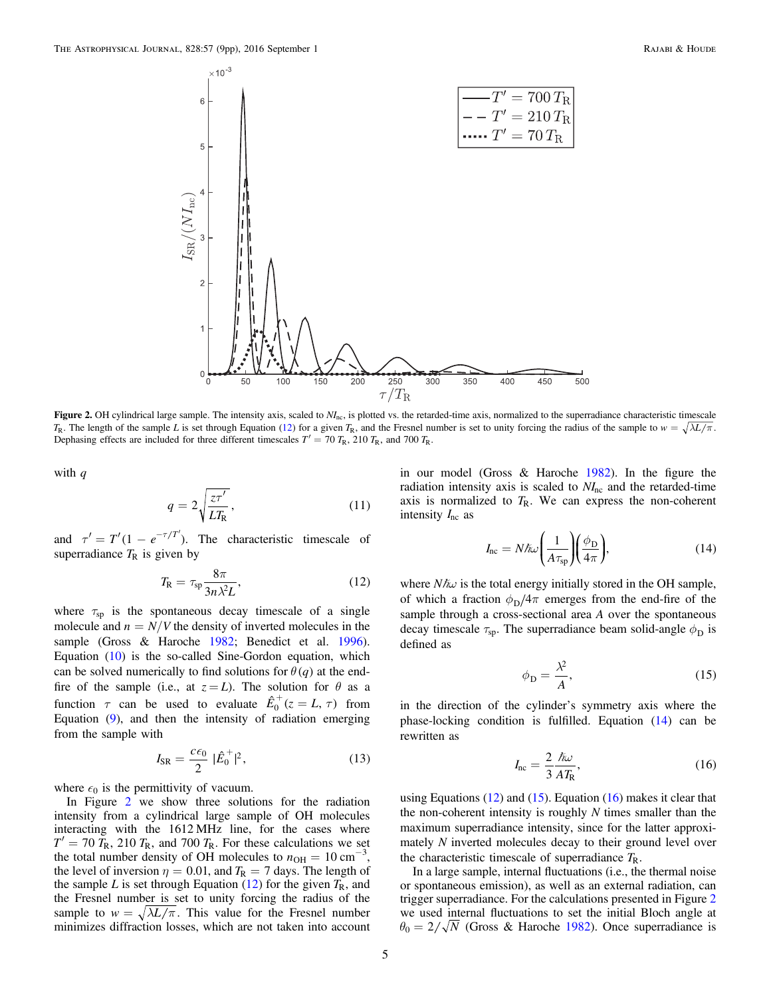<span id="page-4-0"></span>

Figure 2. OH cylindrical large sample. The intensity axis, scaled to  $N<sub>nc</sub>$ , is plotted vs. the retarded-time axis, normalized to the superradiance characteristic timescale  $T_R$ . The length of the sample L is set through Equation ([12](#page-4-1)) for a given  $T_R$ , and the Fresnel number is set to unity forcing the radius of the sample to  $w = \sqrt{\lambda L/\pi}$ . Dephasing effects are included for three different timescales  $T' = 70 T_{\text{R}}$ , 210  $T_{\text{R}}$ , and 700  $T_{\text{R}}$ .

with  $q$ 

$$
q = 2\sqrt{\frac{z\tau'}{LT_{\rm R}}},\tag{11}
$$

<span id="page-4-1"></span>and  $\tau' = T'(1 - e^{-\tau/T'})$ . The characteristic timescale of superradiance  $T_R$  is given by

$$
T_{\rm R} = \tau_{\rm sp} \frac{8\pi}{3n\lambda^2 L},\tag{12}
$$

where  $\tau_{sp}$  is the spontaneous decay timescale of a single molecule and  $n = N/V$  the density of inverted molecules in the sample (Gross & Haroche [1982](#page-8-17); Benedict et al. [1996](#page-8-18)). Equation ([10](#page-3-6)) is the so-called Sine-Gordon equation, which can be solved numerically to find solutions for  $\theta(q)$  at the endfire of the sample (i.e., at  $z = L$ ). The solution for  $\theta$  as a function  $\tau$  can be used to evaluate  $\hat{E}_0^+(z = L, \tau)$  from Equation ([9](#page-3-7)), and then the intensity of radiation emerging from the sample with

$$
I_{\rm SR} = \frac{c\epsilon_0}{2} |\hat{E}_0^+|^2, \qquad (13)
$$

where  $\epsilon_0$  is the permittivity of vacuum.

In Figure [2](#page-4-0) we show three solutions for the radiation intensity from a cylindrical large sample of OH molecules interacting with the 1612 MHz line, for the cases where  $T' = 70 T_{\rm R}$ , 210  $T_{\rm R}$ , and 700  $T_{\rm R}$ . For these calculations we set the total number density of OH molecules to  $n_{\text{OH}} = 10 \text{ cm}^{-3}$ , the level of inversion  $\eta = 0.01$ , and  $T_R = 7$  days. The length of the sample L is set through Equation ([12](#page-4-1)) for the given  $T_R$ , and the Fresnel number is set to unity forcing the radius of the sample to  $w = \sqrt{\lambda L / \pi}$ . This value for the Fresnel number minimizes diffraction losses, which are not taken into account

<span id="page-4-2"></span>in our model (Gross & Haroche [1982](#page-8-17)). In the figure the radiation intensity axis is scaled to  $NI<sub>nc</sub>$  and the retarded-time axis is normalized to  $T<sub>R</sub>$ . We can express the non-coherent intensity  $I_{\text{nc}}$  as

$$
I_{\rm nc} = N \hbar \omega \left( \frac{1}{A \tau_{\rm sp}} \right) \left( \frac{\phi_{\rm D}}{4\pi} \right),\tag{14}
$$

<span id="page-4-3"></span>where  $N\hbar\omega$  is the total energy initially stored in the OH sample, of which a fraction  $\phi_D/4\pi$  emerges from the end-fire of the sample through a cross-sectional area A over the spontaneous decay timescale  $\tau_{sp}$ . The superradiance beam solid-angle  $\phi_{\text{D}}$  is defined as

$$
\phi_{\rm D} = \frac{\lambda^2}{A},\tag{15}
$$

<span id="page-4-4"></span>in the direction of the cylinder's symmetry axis where the phase-locking condition is fulfilled. Equation ([14](#page-4-2)) can be rewritten as

$$
I_{\rm nc} = \frac{2}{3} \frac{\hbar \omega}{A T_{\rm R}},\tag{16}
$$

using Equations  $(12)$  $(12)$  $(12)$  and  $(15)$  $(15)$  $(15)$ . Equation  $(16)$  $(16)$  $(16)$  makes it clear that the non-coherent intensity is roughly  $N$  times smaller than the maximum superradiance intensity, since for the latter approximately N inverted molecules decay to their ground level over the characteristic timescale of superradiance  $T_{\rm R}$ .

In a large sample, internal fluctuations (i.e., the thermal noise or spontaneous emission), as well as an external radiation, can trigger superradiance. For the calculations presented in Figure [2](#page-4-0) we used internal fluctuations to set the initial Bloch angle at  $\theta_0 = 2/\sqrt{N}$  (Gross & Haroche [1982](#page-8-17)). Once superradiance is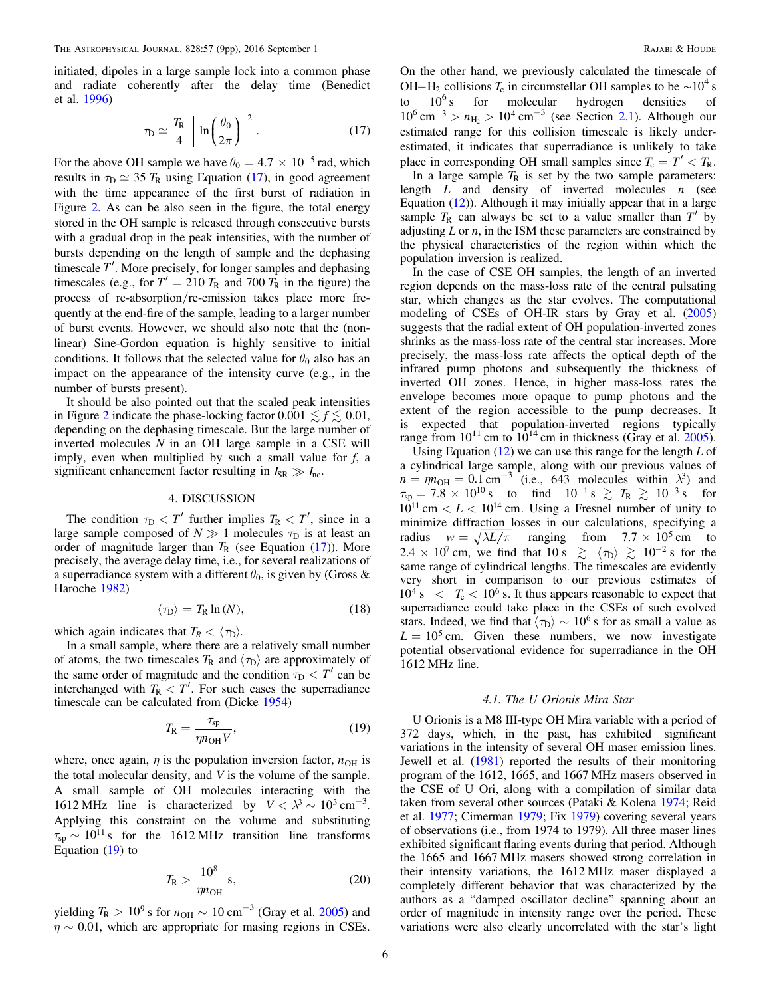<span id="page-5-2"></span>initiated, dipoles in a large sample lock into a common phase and radiate coherently after the delay time (Benedict et al. [1996](#page-8-18))

$$
\tau_{\rm D} \simeq \frac{T_{\rm R}}{4} \left[ \ln \left( \frac{\theta_0}{2\pi} \right) \right]^2. \tag{17}
$$

For the above OH sample we have  $\theta_0 = 4.7 \times 10^{-5}$  rad, which results in  $\tau_D \simeq 35 T_R$  using Equation ([17](#page-5-2)), in good agreement with the time appearance of the first burst of radiation in Figure [2.](#page-4-0) As can be also seen in the figure, the total energy stored in the OH sample is released through consecutive bursts with a gradual drop in the peak intensities, with the number of bursts depending on the length of sample and the dephasing timescale  $T'$ . More precisely, for longer samples and dephasing timescales (e.g., for  $T' = 210 T_R$  and 700  $T_R$  in the figure) the process of re-absorption/re-emission takes place more frequently at the end-fire of the sample, leading to a larger number of burst events. However, we should also note that the (nonlinear) Sine-Gordon equation is highly sensitive to initial conditions. It follows that the selected value for  $\theta_0$  also has an impact on the appearance of the intensity curve (e.g., in the number of bursts present).

It should be also pointed out that the scaled peak intensities in Figure [2](#page-4-0) indicate the phase-locking factor  $0.001 \le f \le 0.01$ , depending on the dephasing timescale. But the large number of inverted molecules  $N$  in an OH large sample in a CSE will imply, even when multiplied by such a small value for  $f$ , a significant enhancement factor resulting in  $I_{SR} \gg I_{nc}$ .

## 4. DISCUSSION

<span id="page-5-0"></span>The condition  $\tau_D < T'$  further implies  $T_R < T'$ , since in a large sample composed of  $N \gg 1$  molecules  $\tau_D$  is at least an order of magnitude larger than  $T_R$  (see Equation ([17](#page-5-2))). More precisely, the average delay time, i.e., for several realizations of a superradiance system with a different  $\theta_0$ , is given by (Gross & Haroche [1982](#page-8-17))

$$
\langle \tau_{\rm D} \rangle = T_{\rm R} \ln(N), \tag{18}
$$

which again indicates that  $T_R < \langle \tau_D \rangle$ .

<span id="page-5-3"></span>In a small sample, where there are a relatively small number of atoms, the two timescales  $T_R$  and  $\langle \tau_D \rangle$  are approximately of the same order of magnitude and the condition  $\tau_{\rm D} < T'$  can be interchanged with  $T_R < T'$ . For such cases the superradiance timescale can be calculated from (Dicke [1954](#page-8-15))

$$
T_{\rm R} = \frac{\tau_{\rm sp}}{\eta n_{\rm OH} V},\tag{19}
$$

where, once again,  $\eta$  is the population inversion factor,  $n_{OH}$  is the total molecular density, and  $V$  is the volume of the sample. A small sample of OH molecules interacting with the 1612 MHz line is characterized by  $V < \lambda^3 \sim 10^3 \text{ cm}^{-3}$ . Applying this constraint on the volume and substituting  $\tau_{sp} \sim 10^{11}$  s for the 1612 MHz transition line transforms Equation ([19](#page-5-3)) to

$$
T_{\rm R} > \frac{10^8}{\eta n_{\rm OH}} \,\mathrm{s},\tag{20}
$$

yielding  $T_R > 10^9$  s for  $n_{OH} \sim 10$  cm<sup>-3</sup> (Gray et al. [2005](#page-8-11)) and  $\eta \sim 0.01$ , which are appropriate for masing regions in CSEs. On the other hand, we previously calculated the timescale of OH-H<sub>2</sub> collisions  $T_c$  in circumstellar OH samples to be  $\sim 10^4$  s<br>to  $10^6$  s for molecular hydrogen densities of  $10<sup>6</sup>$  s for molecular hydrogen densities of  $10^6 \text{ cm}^{-3} > n_{\text{H}_2} > 10^4 \text{ cm}^{-3}$  (see Section [2.1](#page-2-0)). Although our estimated range for this collision timescale is likely underestimated, it indicates that superradiance is unlikely to take place in corresponding OH small samples since  $T_c = T' < T_R$ .

In a large sample  $T_R$  is set by the two sample parameters: length  $L$  and density of inverted molecules  $n$  (see Equation  $(12)$  $(12)$  $(12)$ ). Although it may initially appear that in a large sample  $T_R$  can always be set to a value smaller than  $T'$  by adjusting  $L$  or  $n$ , in the ISM these parameters are constrained by the physical characteristics of the region within which the population inversion is realized.

In the case of CSE OH samples, the length of an inverted region depends on the mass-loss rate of the central pulsating star, which changes as the star evolves. The computational modeling of CSEs of OH-IR stars by Gray et al. ([2005](#page-8-11)) suggests that the radial extent of OH population-inverted zones shrinks as the mass-loss rate of the central star increases. More precisely, the mass-loss rate affects the optical depth of the infrared pump photons and subsequently the thickness of inverted OH zones. Hence, in higher mass-loss rates the envelope becomes more opaque to pump photons and the extent of the region accessible to the pump decreases. It is expected that population-inverted regions typically range from  $10^{11}$  cm to  $10^{14}$  cm in thickness (Gray et al. [2005](#page-8-11)).

Using Equation  $(12)$  $(12)$  $(12)$  we can use this range for the length L of a cylindrical large sample, along with our previous values of  $n = \eta n_{\text{OH}} = 0.1 \text{ cm}^{-3}$  (i.e., 643 molecules within  $\lambda^3$ ) and  $\tau_{sp} = 7.8 \times 10^{10} \text{ s}$  to find  $10^{-1} \text{ s} \ge T_R \ge 10^{-3} \text{ s}$  for  $10^{11}$  cm  $\lt L \lt 10^{14}$  cm. Using a Fresnel number of unity to minimize diffraction losses in our calculations, specifying a radius  $w = \sqrt{\lambda L/\pi}$  ranging from  $7.7 \times 10^5$  cm to  $2.4 \times 10^7$  cm, we find that  $10 \text{ s } \ge \langle \tau_{\text{D}} \rangle \ge 10^{-2} \text{ s }$  for the same range of cylindrical lengths. The timescales are evidently very short in comparison to our previous estimates of  $10^4$  s  $\epsilon$   $T_c$   $\epsilon$  10<sup>6</sup> s. It thus appears reasonable to expect that superradiance could take place in the CSEs of such evolved stars. Indeed, we find that  $\langle \tau_{\rm D} \rangle \sim 10^6$  s for as small a value as  $L = 10^5$  cm. Given these numbers, we now investigate potential observational evidence for superradiance in the OH 1612 MHz line.

### 4.1. The U Orionis Mira Star

<span id="page-5-1"></span>U Orionis is a M8 III-type OH Mira variable with a period of 372 days, which, in the past, has exhibited significant variations in the intensity of several OH maser emission lines. Jewell et al. ([1981](#page-8-19)) reported the results of their monitoring program of the 1612, 1665, and 1667 MHz masers observed in the CSE of U Ori, along with a compilation of similar data taken from several other sources (Pataki & Kolena [1974;](#page-8-35) Reid et al. [1977;](#page-8-36) Cimerman [1979](#page-8-37); Fix [1979](#page-8-38)) covering several years of observations (i.e., from 1974 to 1979). All three maser lines exhibited significant flaring events during that period. Although the 1665 and 1667 MHz masers showed strong correlation in their intensity variations, the 1612 MHz maser displayed a completely different behavior that was characterized by the authors as a "damped oscillator decline" spanning about an order of magnitude in intensity range over the period. These variations were also clearly uncorrelated with the star's light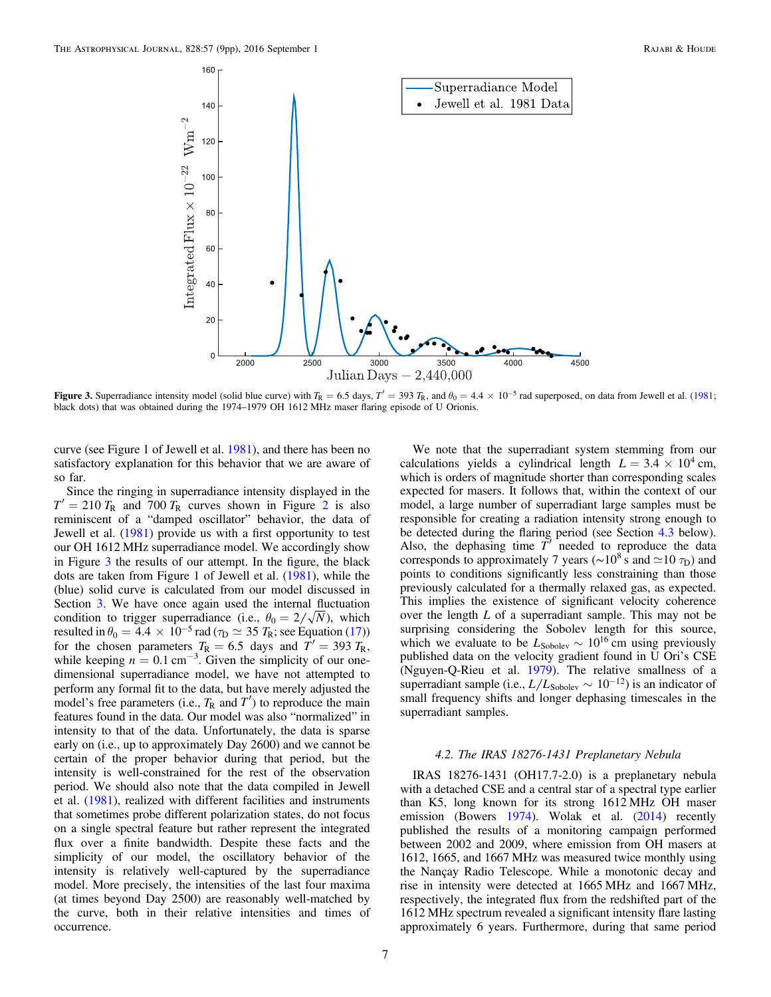<span id="page-6-0"></span>

Figure 3. Superradiance intensity model (solid blue curve) with  $T_R = 6.5$  days,  $T' = 393 T_R$ , and  $\theta_0 = 4.4 \times 10^{-5}$  rad superposed, on data from Jewell et al. ([1981;](#page-8-19) black dots) that was obtained during the 1974–1979 OH 1612 MHz maser flaring episode of U Orionis.

curve (see Figure 1 of Jewell et al. [1981](#page-8-19)), and there has been no satisfactory explanation for this behavior that we are aware of so far.

Since the ringing in superradiance intensity displayed in the  $T' = 210 T_R$  $T' = 210 T_R$  $T' = 210 T_R$  and 700  $T_R$  curves shown in Figure 2 is also reminiscent of a "damped oscillator" behavior, the data of Jewell et al. ([1981](#page-8-19)) provide us with a first opportunity to test our OH 1612 MHz superradiance model. We accordingly show in Figure [3](#page-6-0) the results of our attempt. In the figure, the black dots are taken from Figure 1 of Jewell et al. ([1981](#page-8-19)), while the (blue) solid curve is calculated from our model discussed in Section [3.](#page-3-0) We have once again used the internal fluctuation condition to trigger superradiance (i.e.,  $\theta_0 = 2/\sqrt{N}$ ), which resulted in  $\theta_0 = 4.4 \times 10^{-5}$  rad ( $\tau_D \simeq 35$   $T_R$ ; see Equation ([17](#page-5-2))) for the chosen parameters  $T_R = 6.5$  days and  $T' = 393 T_R$ , while keeping  $n = 0.1$  cm<sup>-3</sup>. Given the simplicity of our onedimensional superradiance model, we have not attempted to perform any formal fit to the data, but have merely adjusted the model's free parameters (i.e.,  $T_R$  and  $T'$ ) to reproduce the main features found in the data. Our model was also "normalized" in intensity to that of the data. Unfortunately, the data is sparse early on (i.e., up to approximately Day 2600) and we cannot be certain of the proper behavior during that period, but the intensity is well-constrained for the rest of the observation period. We should also note that the data compiled in Jewell et al. ([1981](#page-8-19)), realized with different facilities and instruments that sometimes probe different polarization states, do not focus on a single spectral feature but rather represent the integrated flux over a finite bandwidth. Despite these facts and the simplicity of our model, the oscillatory behavior of the intensity is relatively well-captured by the superradiance model. More precisely, the intensities of the last four maxima (at times beyond Day 2500) are reasonably well-matched by the curve, both in their relative intensities and times of occurrence.

We note that the superradiant system stemming from our calculations yields a cylindrical length  $L = 3.4 \times 10^4$  cm, which is orders of magnitude shorter than corresponding scales expected for masers. It follows that, within the context of our model, a large number of superradiant large samples must be responsible for creating a radiation intensity strong enough to be detected during the flaring period (see Section [4.3](#page-7-0) below). Also, the dephasing time  $T'$  needed to reproduce the data corresponds to approximately 7 years (∼10<sup>8</sup> s and  $\simeq$ 10  $\tau_D$ ) and points to conditions significantly less constraining than those previously calculated for a thermally relaxed gas, as expected. This implies the existence of significant velocity coherence over the length L of a superradiant sample. This may not be surprising considering the Sobolev length for this source, which we evaluate to be  $L_{\text{Sobolev}} \sim 10^{16}$  cm using previously published data on the velocity gradient found in U Ori's CSE (Nguyen-Q-Rieu et al. [1979](#page-8-39)). The relative smallness of a superradiant sample (i.e.,  $L/L_{\text{Sobolev}} \sim 10^{-12}$ ) is an indicator of small frequency shifts and longer dephasing timescales in the superradiant samples.

### 4.2. The IRAS 18276-1431 Preplanetary Nebula

IRAS 18276-1431 (OH17.7-2.0) is a preplanetary nebula with a detached CSE and a central star of a spectral type earlier than K5, long known for its strong 1612 MHz OH maser emission (Bowers [1974](#page-8-40)). Wolak et al. ([2014](#page-8-20)) recently published the results of a monitoring campaign performed between 2002 and 2009, where emission from OH masers at 1612, 1665, and 1667 MHz was measured twice monthly using the Nançay Radio Telescope. While a monotonic decay and rise in intensity were detected at 1665 MHz and 1667 MHz, respectively, the integrated flux from the redshifted part of the 1612 MHz spectrum revealed a significant intensity flare lasting approximately 6 years. Furthermore, during that same period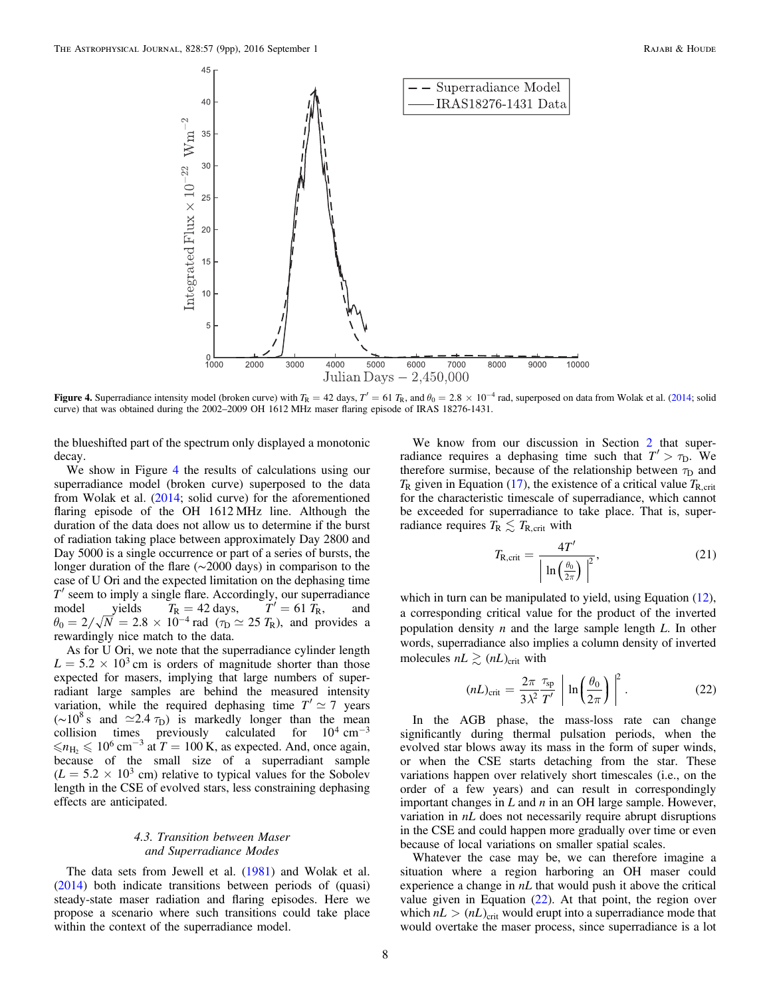<span id="page-7-1"></span>

**Figure 4.** Superradiance intensity model (broken curve) with  $T_R = 42$  days,  $T' = 61$   $T_R$ , and  $\theta_0 = 2.8 \times 10^{-4}$  rad, superposed on data from Wolak et al. ([2014](#page-8-20); solid curve) that was obtained during the 2002–2009 OH 1612 MHz maser flaring episode of IRAS 18276-1431.

the blueshifted part of the spectrum only displayed a monotonic decay.

We show in Figure [4](#page-7-1) the results of calculations using our superradiance model (broken curve) superposed to the data from Wolak et al. ([2014](#page-8-20); solid curve) for the aforementioned flaring episode of the OH 1612 MHz line. Although the duration of the data does not allow us to determine if the burst of radiation taking place between approximately Day 2800 and Day 5000 is a single occurrence or part of a series of bursts, the longer duration of the flare (∼2000 days) in comparison to the case of U Ori and the expected limitation on the dephasing time  $T'$  seem to imply a single flare. Accordingly, our superradiance model yields  $T_R = 42 \text{ days}, \qquad T' = 61 \bar{T}_R,$  and  $\theta_0 = 2/\sqrt{N} = 2.8 \times 10^{-4}$  rad ( $\tau_D \simeq 25$  *T*<sub>R</sub>), and provides a rewardingly nice match to the data.

As for U Ori, we note that the superradiance cylinder length  $L = 5.2 \times 10^3$  cm is orders of magnitude shorter than those expected for masers, implying that large numbers of superradiant large samples are behind the measured intensity variation, while the required dephasing time  $T' \approx 7$  years (∼10<sup>8</sup> s and ≃2.4  $τ_D$ ) is markedly longer than the mean collision times previously calculated for  $10^4 \text{ cm}^{-3}$  $\leq n_{\text{H}_{2}} \leq 10^{6} \text{ cm}^{-3}$  at  $T = 100 \text{ K}$ , as expected. And, once again, because of the small size of a superradiant sample  $(L = 5.2 \times 10^3 \text{ cm})$  relative to typical values for the Sobolev length in the CSE of evolved stars, less constraining dephasing effects are anticipated.

## 4.3. Transition between Maser and Superradiance Modes

<span id="page-7-0"></span>The data sets from Jewell et al. ([1981](#page-8-19)) and Wolak et al. ([2014](#page-8-20)) both indicate transitions between periods of (quasi) steady-state maser radiation and flaring episodes. Here we propose a scenario where such transitions could take place within the context of the superradiance model.

We know from our discussion in Section [2](#page-1-1) that superradiance requires a dephasing time such that  $T' > \tau_D$ . We therefore surmise, because of the relationship between  $\tau_D$  and  $T_R$  given in Equation ([17](#page-5-2)), the existence of a critical value  $T_{R,\text{crit}}$ for the characteristic timescale of superradiance, which cannot be exceeded for superradiance to take place. That is, superradiance requires  $T_R \lesssim T_{R,\text{crit}}$  with

$$
T_{\rm R,crit} = \frac{4T'}{\left|\ln\left(\frac{\theta_0}{2\pi}\right)\right|^2},\tag{21}
$$

<span id="page-7-2"></span>which in turn can be manipulated to yield, using Equation ([12](#page-4-1)), a corresponding critical value for the product of the inverted population density  $n$  and the large sample length  $L$ . In other words, superradiance also implies a column density of inverted molecules  $nL \gtrsim (nL)_{\text{crit}}$  with

$$
(nL)_{\text{crit}} = \frac{2\pi}{3\lambda^2} \frac{\tau_{\text{sp}}}{T'} \left| \ln\left(\frac{\theta_0}{2\pi}\right) \right|^2.
$$
 (22)

In the AGB phase, the mass-loss rate can change significantly during thermal pulsation periods, when the evolved star blows away its mass in the form of super winds, or when the CSE starts detaching from the star. These variations happen over relatively short timescales (i.e., on the order of a few years) and can result in correspondingly important changes in  $L$  and  $n$  in an OH large sample. However, variation in nL does not necessarily require abrupt disruptions in the CSE and could happen more gradually over time or even because of local variations on smaller spatial scales.

Whatever the case may be, we can therefore imagine a situation where a region harboring an OH maser could experience a change in  $nL$  that would push it above the critical value given in Equation ([22](#page-7-2)). At that point, the region over which  $nL > (nL)_{\text{crit}}$  would erupt into a superradiance mode that would overtake the maser process, since superradiance is a lot